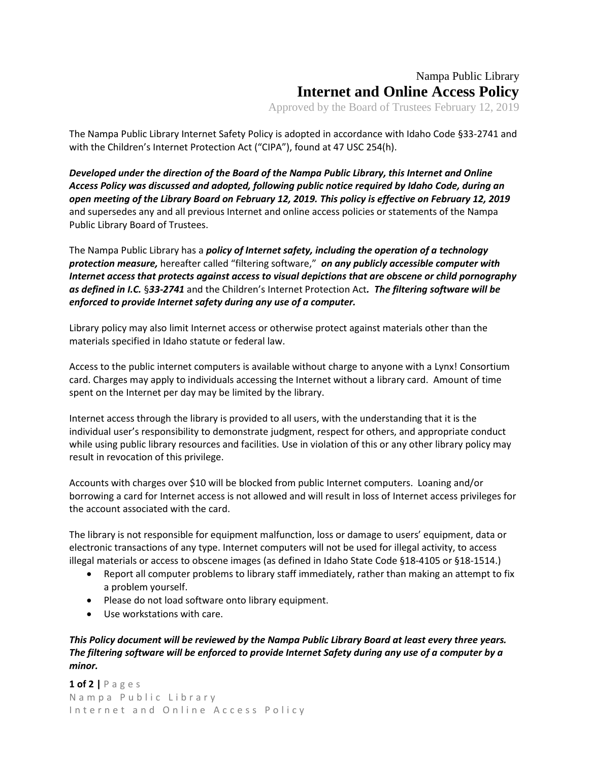## Nampa Public Library **Internet and Online Access Policy**

Approved by the Board of Trustees February 12, 2019

The Nampa Public Library Internet Safety Policy is adopted in accordance with Idaho Code §33-2741 and with the Children's Internet Protection Act ("CIPA"), found at 47 USC 254(h).

*Developed under the direction of the Board of the Nampa Public Library, this Internet and Online Access Policy was discussed and adopted, following public notice required by Idaho Code, during an open meeting of the Library Board on February 12, 2019. This policy is effective on February 12, 2019* and supersedes any and all previous Internet and online access policies or statements of the Nampa Public Library Board of Trustees.

The Nampa Public Library has a *policy of Internet safety, including the operation of a technology protection measure,* hereafter called "filtering software," *on any publicly accessible computer with Internet access that protects against access to visual depictions that are obscene or child pornography as defined in I.C.* §*33-2741* and the Children's Internet Protection Act*. The filtering software will be enforced to provide Internet safety during any use of a computer.*

Library policy may also limit Internet access or otherwise protect against materials other than the materials specified in Idaho statute or federal law.

Access to the public internet computers is available without charge to anyone with a Lynx! Consortium card. Charges may apply to individuals accessing the Internet without a library card. Amount of time spent on the Internet per day may be limited by the library.

Internet access through the library is provided to all users, with the understanding that it is the individual user's responsibility to demonstrate judgment, respect for others, and appropriate conduct while using public library resources and facilities. Use in violation of this or any other library policy may result in revocation of this privilege.

Accounts with charges over \$10 will be blocked from public Internet computers. Loaning and/or borrowing a card for Internet access is not allowed and will result in loss of Internet access privileges for the account associated with the card.

The library is not responsible for equipment malfunction, loss or damage to users' equipment, data or electronic transactions of any type. Internet computers will not be used for illegal activity, to access illegal materials or access to obscene images (as defined in Idaho State Code §18-4105 or §18-1514.)

- Report all computer problems to library staff immediately, rather than making an attempt to fix a problem yourself.
- Please do not load software onto library equipment.
- Use workstations with care.

*This Policy document will be reviewed by the Nampa Public Library Board at least every three years. The filtering software will be enforced to provide Internet Safety during any use of a computer by a minor.*

**1 of 2 |** P a g e s N a m p a P u b l i c L i b r a r y Internet and Online Access Policy